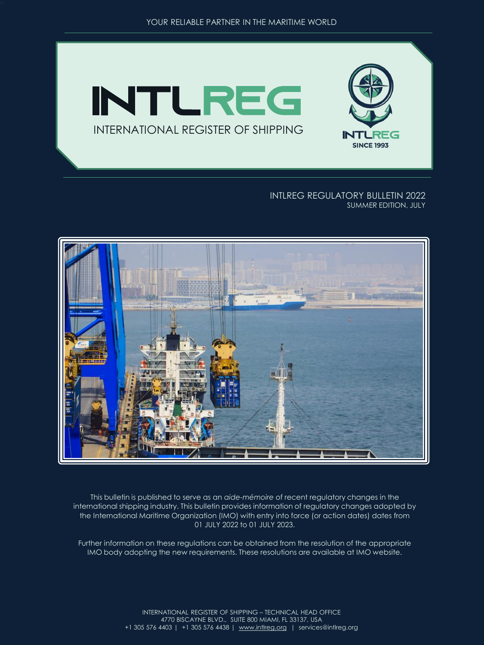

#### INTLREG REGULATORY BULLETIN 2022 SUMMER EDITION, JULY



This bulletin is published to serve as an *aide-mémoire* of recent regulatory changes in the international shipping industry. This bulletin provides information of regulatory changes adopted by the International Maritime Organization (IMO) with entry into force (or action dates) dates from 01 JULY 2022 to 01 JULY 2023.

Further information on these regulations can be obtained from the resolution of the appropriate IMO body adopting the new requirements. These resolutions are available at IMO website.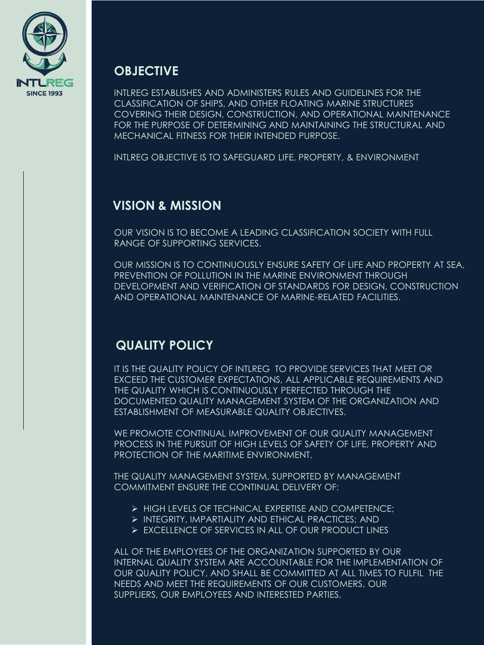

## **OBJECTIVE**

INTLREG ESTABLISHES AND ADMINISTERS RULES AND GUIDELINES FOR THE CLASSIFICATION OF SHIPS, AND OTHER FLOATING MARINE STRUCTURES COVERING THEIR DESIGN, CONSTRUCTION, AND OPERATIONAL MAINTENANCE FOR THE PURPOSE OF DETERMINING AND MAINTAINING THE STRUCTURAL AND MECHANICAL FITNESS FOR THEIR INTENDED PURPOSE.

INTLREG OBJECTIVE IS TO SAFEGUARD LIFE, PROPERTY, & ENVIRONMENT

# **VISION & MISSION**

OUR VISION IS TO BECOME A LEADING CLASSIFICATION SOCIETY WITH FULL RANGE OF SUPPORTING SERVICES.

OUR MISSION IS TO CONTINUOUSLY ENSURE SAFETY OF LIFE AND PROPERTY AT SEA, PREVENTION OF POLLUTION IN THE MARINE ENVIRONMENT THROUGH DEVELOPMENT AND VERIFICATION OF STANDARDS FOR DESIGN, CONSTRUCTION AND OPERATIONAL MAINTENANCE OF MARINE-RELATED FACILITIES.

## **QUALITY POLICY**

IT IS THE QUALITY POLICY OF INTLREG TO PROVIDE SERVICES THAT MEET OR EXCEED THE CUSTOMER EXPECTATIONS, ALL APPLICABLE REQUIREMENTS AND THE QUALITY WHICH IS CONTINUOUSLY PERFECTED THROUGH THE DOCUMENTED QUALITY MANAGEMENT SYSTEM OF THE ORGANIZATION AND ESTABLISHMENT OF MEASURABLE QUALITY OBJECTIVES.

WE PROMOTE CONTINUAL IMPROVEMENT OF OUR QUALITY MANAGEMENT PROCESS IN THE PURSUIT OF HIGH LEVELS OF SAFETY OF LIFE, PROPERTY AND PROTECTION OF THE MARITIME ENVIRONMENT.

THE QUALITY MANAGEMENT SYSTEM, SUPPORTED BY MANAGEMENT COMMITMENT ENSURE THE CONTINUAL DELIVERY OF:

- ➢ HIGH LEVELS OF TECHNICAL EXPERTISE AND COMPETENCE;
- ➢ INTEGRITY, IMPARTIALITY AND ETHICAL PRACTICES; AND
- ➢ EXCELLENCE OF SERVICES IN ALL OF OUR PRODUCT LINES

ALL OF THE EMPLOYEES OF THE ORGANIZATION SUPPORTED BY OUR INTERNAL QUALITY SYSTEM ARE ACCOUNTABLE FOR THE IMPLEMENTATION OF OUR QUALITY POLICY, AND SHALL BE COMMITTED AT ALL TIMES TO FULFIL THE NEEDS AND MEET THE REQUIREMENTS OF OUR CUSTOMERS, OUR SUPPLIERS, OUR EMPLOYEES AND INTERESTED PARTIES.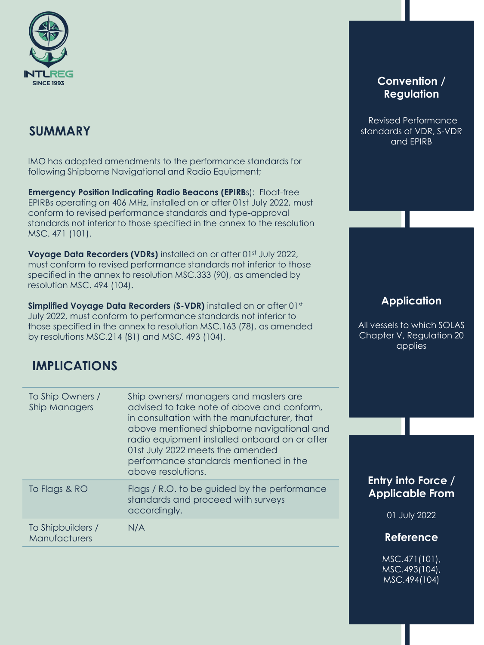

IMO has adopted amendments to the performance standards for following Shipborne Navigational and Radio Equipment;

**Emergency Position Indicating Radio Beacons (EPIRBS): Float-free** EPIRBs operating on 406 MHz, installed on or after 01st July 2022, must conform to revised performance standards and type-approval standards not inferior to those specified in the annex to the resolution MSC. 471 (101).

**Voyage Data Recorders (VDRs)** installed on or after 01st July 2022, must conform to revised performance standards not inferior to those specified in the annex to resolution MSC.333 (90), as amended by resolution MSC. 494 (104).

**Simplified Voyage Data Recorders (S-VDR)** installed on or after 01st July 2022, must conform to performance standards not inferior to those specified in the annex to resolution MSC.163 (78), as amended by resolutions MSC.214 (81) and MSC. 493 (104).

# **IMPLICATIONS**

| To Ship Owners /<br>Ship Managers         | Ship owners/ managers and masters are<br>advised to take note of above and conform.<br>in consultation with the manufacturer, that<br>above mentioned shipborne navigational and<br>radio equipment installed onboard on or after<br>01st July 2022 meets the amended<br>performance standards mentioned in the<br>above resolutions. |
|-------------------------------------------|---------------------------------------------------------------------------------------------------------------------------------------------------------------------------------------------------------------------------------------------------------------------------------------------------------------------------------------|
| To Flags & RO                             | Flags / R.O. to be guided by the performance<br>standards and proceed with surveys<br>accordingly.                                                                                                                                                                                                                                    |
| To Shipbuilders /<br><b>Manufacturers</b> | N/A                                                                                                                                                                                                                                                                                                                                   |

## **Convention / Regulation**

Revised Performance standards of VDR, S-VDR and EPIRB

## **Application**

All vessels to which SOLAS Chapter V, Regulation 20 applies

## **Entry into Force / Applicable From**

01 July 2022

### **Reference**

MSC.471(101), MSC.493(104), MSC.494(104)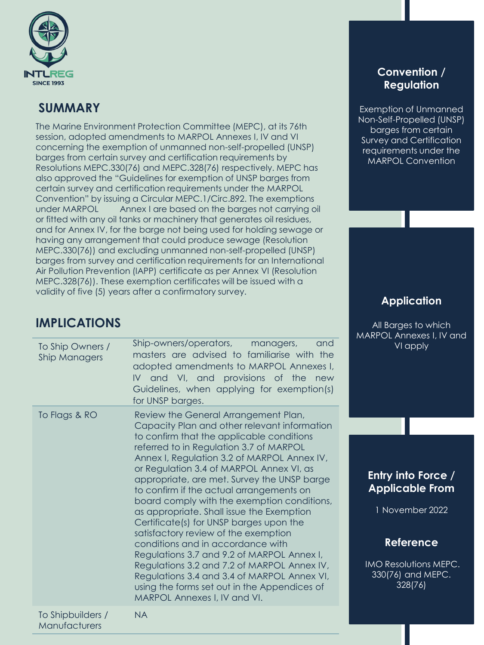

The Marine Environment Protection Committee (MEPC), at its 76th session, adopted amendments to MARPOL Annexes I, IV and VI concerning the exemption of unmanned non-self-propelled (UNSP) barges from certain survey and certification requirements by Resolutions MEPC.330(76) and MEPC.328(76) respectively. MEPC has also approved the "Guidelines for exemption of UNSP barges from certain survey and certification requirements under the MARPOL Convention" by issuing a Circular MEPC.1/Circ.892. The exemptions under MARPOL Annex I are based on the barges not carrying oil or fitted with any oil tanks or machinery that generates oil residues, and for Annex IV, for the barge not being used for holding sewage or having any arrangement that could produce sewage (Resolution MEPC.330(76)) and excluding unmanned non-self-propelled (UNSP) barges from survey and certification requirements for an International Air Pollution Prevention (IAPP) certificate as per Annex VI (Resolution MEPC.328(76)). These exemption certificates will be issued with a validity of five (5) years after a confirmatory survey.

## **IMPLICATIONS**

| To Ship Owners /<br><b>Ship Managers</b> | Ship-owners/operators, managers,<br>and<br>masters are advised to familiarise with the<br>adopted amendments to MARPOL Annexes I,<br>IV and VI, and provisions of the new<br>Guidelines, when applying for exemption(s)<br>for UNSP barges.                                                                                                                                                                                                                                                                                                                                                                                                                                                                                                                                                                        |
|------------------------------------------|--------------------------------------------------------------------------------------------------------------------------------------------------------------------------------------------------------------------------------------------------------------------------------------------------------------------------------------------------------------------------------------------------------------------------------------------------------------------------------------------------------------------------------------------------------------------------------------------------------------------------------------------------------------------------------------------------------------------------------------------------------------------------------------------------------------------|
| To Flags & RO                            | Review the General Arrangement Plan,<br>Capacity Plan and other relevant information<br>to confirm that the applicable conditions<br>referred to in Regulation 3.7 of MARPOL<br>Annex I, Regulation 3.2 of MARPOL Annex IV,<br>or Regulation 3.4 of MARPOL Annex VI, as<br>appropriate, are met. Survey the UNSP barge<br>to confirm if the actual arrangements on<br>board comply with the exemption conditions,<br>as appropriate. Shall issue the Exemption<br>Certificate(s) for UNSP barges upon the<br>satisfactory review of the exemption<br>conditions and in accordance with<br>Regulations 3.7 and 9.2 of MARPOL Annex I,<br>Regulations 3.2 and 7.2 of MARPOL Annex IV,<br>Regulations 3.4 and 3.4 of MARPOL Annex VI,<br>using the forms set out in the Appendices of<br>MARPOL Annexes I, IV and VI. |
| To Shipbuilders /<br>Manufacturers       | NA.                                                                                                                                                                                                                                                                                                                                                                                                                                                                                                                                                                                                                                                                                                                                                                                                                |

## **Convention / Regulation**

Exemption of Unmanned Non-Self-Propelled (UNSP) barges from certain Survey and Certification requirements under the MARPOL Convention

## **Application**

All Barges to which MARPOL Annexes I, IV and VI apply

## **Entry into Force / Applicable From**

1 November 2022

## **Reference**

IMO Resolutions MEPC. 330(76) and MEPC. 328(76)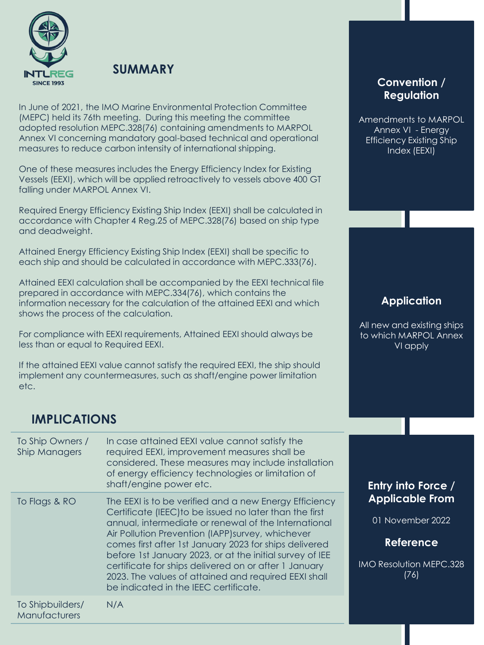

In June of 2021, the IMO Marine Environmental Protection Committee (MEPC) held its 76th meeting. During this meeting the committee adopted resolution MEPC.328(76) containing amendments to MARPOL Annex VI concerning mandatory goal-based technical and operational measures to reduce carbon intensity of international shipping.

One of these measures includes the Energy Efficiency Index for Existing Vessels (EEXI), which will be applied retroactively to vessels above 400 GT falling under MARPOL Annex VI.

Required Energy Efficiency Existing Ship Index (EEXI) shall be calculated in accordance with Chapter 4 Reg.25 of MEPC.328(76) based on ship type and deadweight.

Attained Energy Efficiency Existing Ship Index (EEXI) shall be specific to each ship and should be calculated in accordance with MEPC.333(76).

Attained EEXI calculation shall be accompanied by the EEXI technical file prepared in accordance with MEPC.334(76), which contains the information necessary for the calculation of the attained EEXI and which shows the process of the calculation.

For compliance with EEXI requirements, Attained EEXI should always be less than or equal to Required EEXI.

If the attained EEXI value cannot satisfy the required EEXI, the ship should implement any countermeasures, such as shaft/engine power limitation etc.

## **IMPLICATIONS**

| To Ship Owners /<br><b>Ship Managers</b> | In case attained EEXI value cannot satisfy the<br>required EEXI, improvement measures shall be<br>considered. These measures may include installation<br>of energy efficiency technologies or limitation of<br>shaft/engine power etc.                                                                                                                                                                                                                                                                         | Entry into Force /                                                                                       |
|------------------------------------------|----------------------------------------------------------------------------------------------------------------------------------------------------------------------------------------------------------------------------------------------------------------------------------------------------------------------------------------------------------------------------------------------------------------------------------------------------------------------------------------------------------------|----------------------------------------------------------------------------------------------------------|
| To Flags & RO                            | The EEXI is to be verified and a new Energy Efficiency<br>Certificate (IEEC) to be issued no later than the first<br>annual, intermediate or renewal of the International<br>Air Pollution Prevention (IAPP) survey, whichever<br>comes first after 1st January 2023 for ships delivered<br>before 1st January 2023, or at the initial survey of IEE<br>certificate for ships delivered on or after 1 January<br>2023. The values of attained and required EEXI shall<br>be indicated in the IEEC certificate. | <b>Applicable From</b><br>01 November 2022<br><b>Reference</b><br><b>IMO Resolution MEPC.328</b><br>(76) |
| To Shipbuilders/<br>Manufacturers        | N/A                                                                                                                                                                                                                                                                                                                                                                                                                                                                                                            |                                                                                                          |

### **Convention / Regulation**

Amendments to MARPOL Annex VI - Energy Efficiency Existing Ship Index (EEXI)

## **Application**

All new and existing ships to which MARPOL Annex VI apply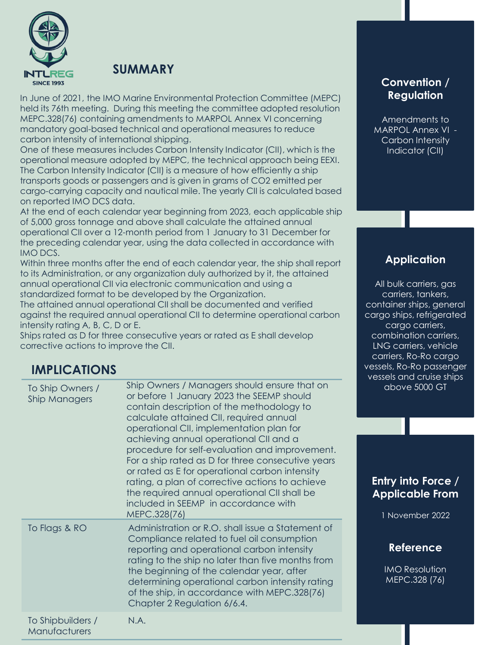

In June of 2021, the IMO Marine Environmental Protection Committee (MEPC) held its 76th meeting. During this meeting the committee adopted resolution MEPC.328(76) containing amendments to MARPOL Annex VI concerning mandatory goal-based technical and operational measures to reduce carbon intensity of international shipping.

One of these measures includes Carbon Intensity Indicator (CII), which is the operational measure adopted by MEPC, the technical approach being EEXI. The Carbon Intensity Indicator (CII) is a measure of how efficiently a ship transports goods or passengers and is given in grams of CO2 emitted per cargo-carrying capacity and nautical mile. The yearly CII is calculated based on reported IMO DCS data.

At the end of each calendar year beginning from 2023, each applicable ship of 5,000 gross tonnage and above shall calculate the attained annual operational CII over a 12-month period from 1 January to 31 December for the preceding calendar year, using the data collected in accordance with IMO DCS.

Within three months after the end of each calendar year, the ship shall report to its Administration, or any organization duly authorized by it, the attained annual operational CII via electronic communication and using a standardized format to be developed by the Organization.

The attained annual operational CII shall be documented and verified against the required annual operational CII to determine operational carbon intensity rating A, B, C, D or E.

Ships rated as D for three consecutive years or rated as E shall develop corrective actions to improve the CII.

## **IMPLICATIONS**

| To Ship Owners /<br><b>Ship Managers</b> | Ship Owners / Managers should ensure that on<br>or before 1 January 2023 the SEEMP should<br>contain description of the methodology to<br>calculate attained CII, required annual<br>operational CII, implementation plan for<br>achieving annual operational CII and a<br>procedure for self-evaluation and improvement.<br>For a ship rated as D for three consecutive years<br>or rated as E for operational carbon intensity<br>rating, a plan of corrective actions to achieve<br>the required annual operational CII shall be<br>included in SEEMP in accordance with<br>MEPC.328(76) |
|------------------------------------------|---------------------------------------------------------------------------------------------------------------------------------------------------------------------------------------------------------------------------------------------------------------------------------------------------------------------------------------------------------------------------------------------------------------------------------------------------------------------------------------------------------------------------------------------------------------------------------------------|
| To Flags & RO                            | Administration or R.O. shall issue a Statement of<br>Compliance related to fuel oil consumption<br>reporting and operational carbon intensity<br>rating to the ship no later than five months from<br>the beginning of the calendar year, after<br>determining operational carbon intensity rating<br>of the ship, in accordance with MEPC.328(76)<br>Chapter 2 Regulation 6/6.4.                                                                                                                                                                                                           |
| To Shipbuilders /<br>Manufacturers       | N.A.                                                                                                                                                                                                                                                                                                                                                                                                                                                                                                                                                                                        |

## **Convention / Regulation**

Amendments to MARPOL Annex VI - Carbon Intensity Indicator (CII)

## **Application**

All bulk carriers, gas carriers, tankers, container ships, general cargo ships, refrigerated cargo carriers, combination carriers, LNG carriers, vehicle carriers, Ro-Ro cargo vessels, Ro-Ro passenger vessels and cruise ships above 5000 GT

## **Entry into Force / Applicable From**

1 November 2022

## **Reference**

IMO Resolution MEPC.328 (76)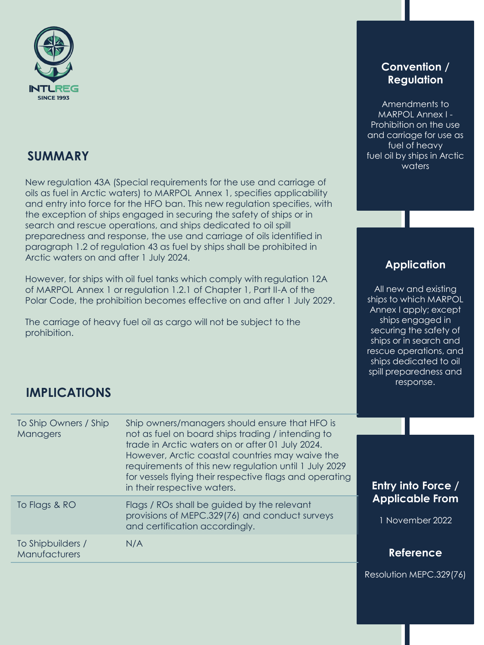

New regulation 43A (Special requirements for the use and carriage of oils as fuel in Arctic waters) to MARPOL Annex 1, specifies applicability and entry into force for the HFO ban. This new regulation specifies, with the exception of ships engaged in securing the safety of ships or in search and rescue operations, and ships dedicated to oil spill preparedness and response, the use and carriage of oils identified in paragraph 1.2 of regulation 43 as fuel by ships shall be prohibited in Arctic waters on and after 1 July 2024.

However, for ships with oil fuel tanks which comply with regulation 12A of MARPOL Annex 1 or regulation 1.2.1 of Chapter 1, Part II-A of the Polar Code, the prohibition becomes effective on and after 1 July 2029.

The carriage of heavy fuel oil as cargo will not be subject to the prohibition.

### **Convention / Regulation**

Amendments to MARPOL Annex I - Prohibition on the use and carriage for use as fuel of heavy fuel oil by ships in Arctic waters

## **Application**

All new and existing ships to which MARPOL Annex I apply; except ships engaged in securing the safety of ships or in search and rescue operations, and ships dedicated to oil spill preparedness and response.

# **IMPLICATIONS**

| To Ship Owners / Ship<br>Managers  | Ship owners/managers should ensure that HFO is<br>not as fuel on board ships trading / intending to<br>trade in Arctic waters on or after 01 July 2024.<br>However, Arctic coastal countries may waive the<br>requirements of this new regulation until 1 July 2029<br>for vessels flying their respective flags and operating<br>in their respective waters. | <b>Entry</b> i        |
|------------------------------------|---------------------------------------------------------------------------------------------------------------------------------------------------------------------------------------------------------------------------------------------------------------------------------------------------------------------------------------------------------------|-----------------------|
| To Flags & RO                      | Flags / ROs shall be guided by the relevant<br>provisions of MEPC.329(76) and conduct surveys<br>and certification accordingly.                                                                                                                                                                                                                               | <b>Appli</b><br>1 Nov |
| To Shipbuilders /<br>Manufacturers | N/A                                                                                                                                                                                                                                                                                                                                                           | Re                    |

Resolution MEPC.329(76)

**Reference**

**Entry into Force / Applicable From**

ember 2022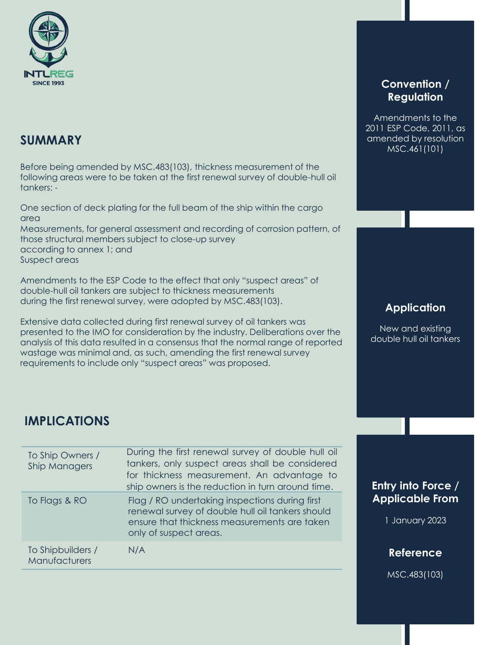

Before being amended by MSC.483(103), thickness measurement of the following areas were to be taken at the first renewal survey of double-hull oil tankers: -

One section of deck plating for the full beam of the ship within the cargo area Measurements, for general assessment and recording of corrosion pattern, of those structural members subject to close-up survey according to annex 1; and Suspect areas

Amendments to the ESP Code to the effect that only "suspect areas" of double-hull oil tankers are subject to thickness measurements during the first renewal survey, were adopted by MSC.483(103).

Extensive data collected during first renewal survey of oil tankers was presented to the IMO for consideration by the industry. Deliberations over the analysis of this data resulted in a consensus that the normal range of reported wastage was minimal and, as such, amending the first renewal survey requirements to include only "suspect areas" was proposed.

## **IMPLICATIONS**

| To Ship Owners /<br>Ship Managers  | During the first renewal survey of double hull oil<br>tankers, only suspect areas shall be considered<br>for thickness measurement. An advantage to<br>ship owners is the reduction in turn around time. |
|------------------------------------|----------------------------------------------------------------------------------------------------------------------------------------------------------------------------------------------------------|
| To Flags & RO                      | Flag / RO undertaking inspections during first<br>renewal survey of double hull oil tankers should<br>ensure that thickness measurements are taken<br>only of suspect areas.                             |
| To Shipbuilders /<br>Manufacturers | N/A                                                                                                                                                                                                      |

### **Convention / Regulation**

Amendments to the 2011 ESP Code, 2011, as amended by resolution MSC.461(101)

### **Application**

New and existing double hull oil tankers

## **Entry into Force / Applicable From**

1 January 2023

### **Reference**

MSC.483(103)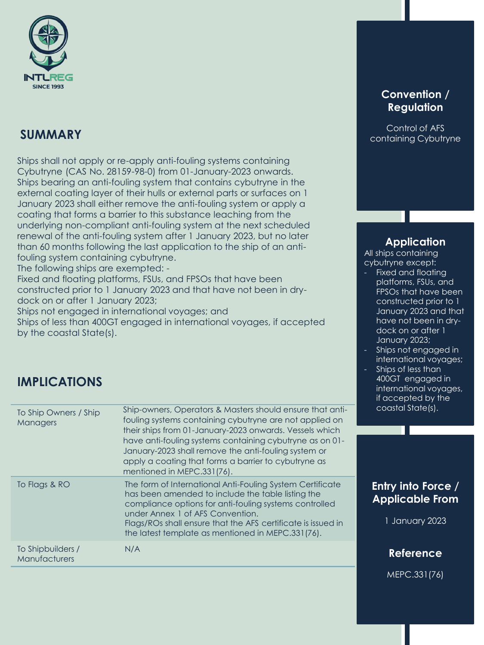

Ships shall not apply or re-apply anti-fouling systems containing Cybutryne (CAS No. 28159-98-0) from 01-January-2023 onwards. Ships bearing an anti-fouling system that contains cybutryne in the external coating layer of their hulls or external parts or surfaces on 1 January 2023 shall either remove the anti-fouling system or apply a coating that forms a barrier to this substance leaching from the underlying non-compliant anti-fouling system at the next scheduled renewal of the anti-fouling system after 1 January 2023, but no later than 60 months following the last application to the ship of an antifouling system containing cybutryne.

The following ships are exempted: -

Fixed and floating platforms, FSUs, and FPSOs that have been constructed prior to 1 January 2023 and that have not been in drydock on or after 1 January 2023;

Ships not engaged in international voyages; and Ships of less than 400GT engaged in international voyages, if accepted by the coastal State(s).

## **IMPLICATIONS**

| To Ship Owners / Ship<br><b>Managers</b> | Ship-owners, Operators & Masters should ensure that anti-<br>fouling systems containing cybutryne are not applied on<br>their ships from 01-January-2023 onwards. Vessels which<br>have anti-fouling systems containing cybutryne as on 01-<br>January-2023 shall remove the anti-fouling system or<br>apply a coating that forms a barrier to cybutryne as<br>mentioned in MEPC.331(76). |
|------------------------------------------|-------------------------------------------------------------------------------------------------------------------------------------------------------------------------------------------------------------------------------------------------------------------------------------------------------------------------------------------------------------------------------------------|
| To Flags & RO                            | The form of International Anti-Fouling System Certificate<br>has been amended to include the table listing the<br>compliance options for anti-fouling systems controlled<br>under Annex 1 of AFS Convention.<br>Flags/ROs shall ensure that the AFS certificate is issued in<br>the latest template as mentioned in MEPC.331(76).                                                         |
| To Shipbuilders /<br>Manufacturers       | N/A                                                                                                                                                                                                                                                                                                                                                                                       |

### **Convention / Regulation**

Control of AFS containing Cybutryne

### **Application**

All ships containing cybutryne except:

- Fixed and floating platforms, FSUs, and FPSOs that have been constructed prior to 1 January 2023 and that have not been in drydock on or after 1 January 2023;
- Ships not engaged in international voyages;
- Ships of less than 400GT engaged in international voyages, if accepted by the coastal State(s).

## **Entry into Force / Applicable From**

1 January 2023

**Reference**

MEPC.331(76)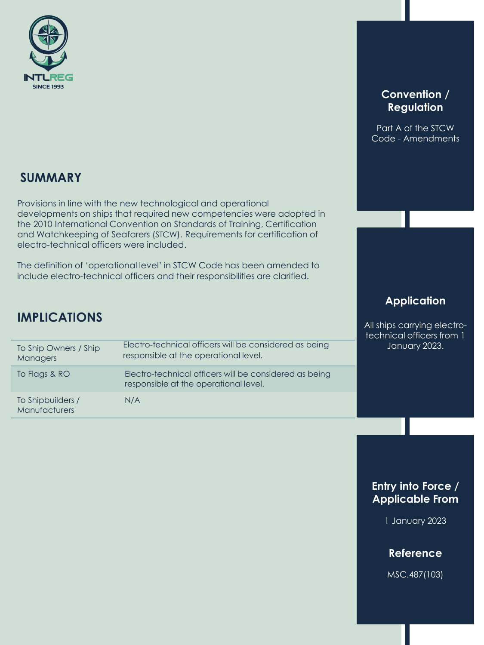

## **Convention / Regulation**

Part A of the STCW Code - Amendments

## **SUMMARY**

Provisions in line with the new technological and operational developments on ships that required new competencies were adopted in the 2010 International Convention on Standards of Training, Certification and Watchkeeping of Seafarers (STCW). Requirements for certification of electro-technical officers were included.

The definition of 'operational level' in STCW Code has been amended to include electro-technical officers and their responsibilities are clarified.

## **IMPLICATIONS**

| To Ship Owners / Ship<br>Managers         | Electro-technical officers will be considered as being<br>responsible at the operational level. |
|-------------------------------------------|-------------------------------------------------------------------------------------------------|
| To Flags & RO                             | Electro-technical officers will be considered as being<br>responsible at the operational level. |
| To Shipbuilders /<br><b>Manufacturers</b> | N/A                                                                                             |

## **Application**

All ships carrying electrotechnical officers from 1 January 2023.

## **Entry into Force / Applicable From**

1 January 2023

### **Reference**

MSC.487(103)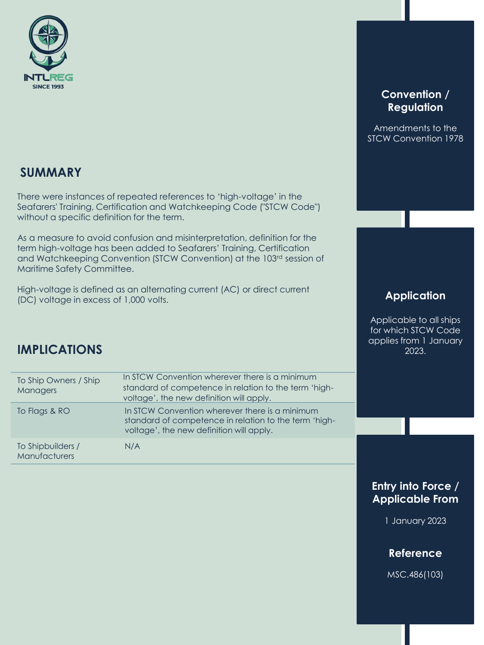

There were instances of repeated references to 'high-voltage' in the Seafarers' Training, Certification and Watchkeeping Code ("STCW Code") without a specific definition for the term.

As a measure to avoid confusion and misinterpretation, definition for the term high-voltage has been added to Seafarers' Training, Certification and Watchkeeping Convention (STCW Convention) at the 103rd session of Maritime Safety Committee.

High-voltage is defined as an alternating current (AC) or direct current (DC) voltage in excess of 1,000 volts.

## **IMPLICATIONS**

| To Ship Owners / Ship<br>Managers  | In STCW Convention wherever there is a minimum<br>standard of competence in relation to the term 'high-<br>voltage', the new definition will apply. |
|------------------------------------|-----------------------------------------------------------------------------------------------------------------------------------------------------|
| To Flags & RO                      | In STCW Convention wherever there is a minimum<br>standard of competence in relation to the term 'high-<br>voltage', the new definition will apply. |
| To Shipbuilders /<br>Manufacturers | N/A                                                                                                                                                 |

### **Convention / Regulation**

Amendments to the STCW Convention 1978

### **Application**

Applicable to all ships for which STCW Code applies from 1 January 2023.

## **Entry into Force / Applicable From**

1 January 2023

### **Reference**

MSC.486(103)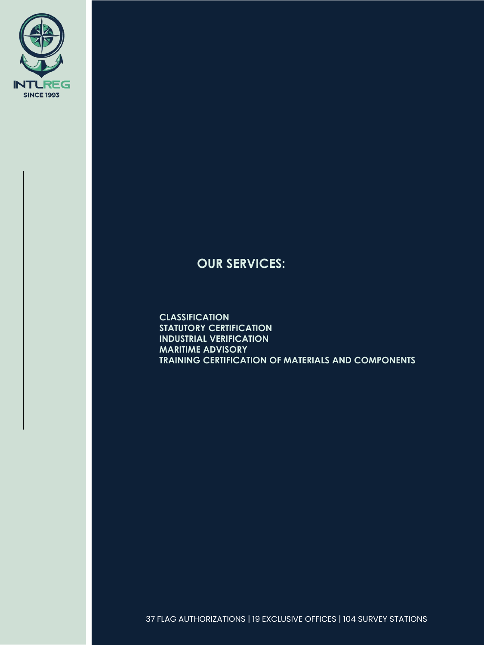

## **OUR SERVICES:**

**CLASSIFICATION STATUTORY CERTIFICATION INDUSTRIAL VERIFICATION MARITIME ADVISORY TRAINING CERTIFICATION OF MATERIALS AND COMPONENTS**

37 FLAG AUTHORIZATIONS | 19 EXCLUSIVE OFFICES | 104 SURVEY STATIONS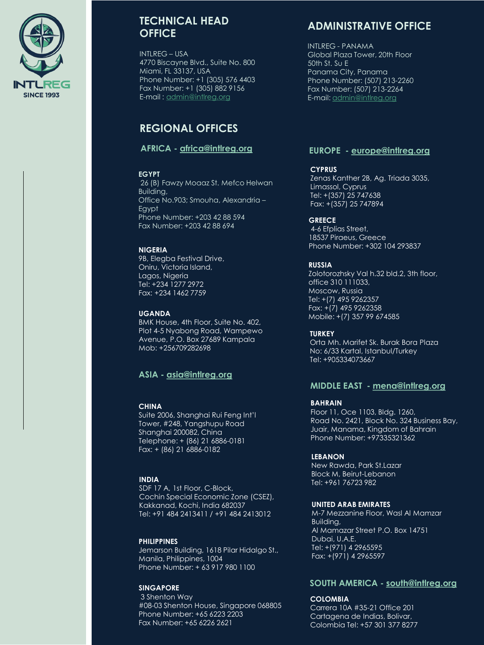

### **TECHNICAL HEAD OFFICE**

 $INTIRFG - USA$ 4770 Biscayne Blvd., Suite No. 800 Miami, FL 33137, USA Phone Number: +1 (305) 576 4403 Fax Number: +1 (305) 882 9156 E-mail : [admin@intlreg.org](mailto:admin@intlreg.org)

## **REGIONAL OFFICES**

### **AFRICA - [africa@intlreg.org](mailto:africa@intlreg.org)**

#### **EGYPT**

26 (B) Fawzy Moaaz St. Mefco Helwan Building, Office No.903; Smouha, Alexandria – Egypt Phone Number: +203 42 88 594 Fax Number: +203 42 88 694

#### **NIGERIA**

9B, Elegba Festival Drive, Oniru, Victoria Island, Lagos, Nigeria Tel: +234 1277 2972 Fax: +234 1462 7759

#### **UGANDA**

BMK House, 4th Floor, Suite No. 402, Plot 4-5 Nyabong Road, Wampewo Avenue, P.O. Box 27689 Kampala Mob: +256709282698

### **ASIA - [asia@intlreg.org](mailto:asia@intlreg.org)**

#### **CHINA**

Suite 2006, Shanghai Rui Feng Int'l Tower, #248, Yangshupu Road Shanghai 200082, China Telephone: + (86) 21 6886-0181 Fax: + (86) 21 6886-0182

#### **INDIA**

SDF 17 A, 1st Floor, C-Block, Cochin Special Economic Zone (CSEZ), Kakkanad, Kochi, India 682037 Tel: +91 484 2413411 / +91 484 2413012

#### **PHILIPPINES**

Jemarson Building, 1618 Pilar Hidalgo St., Manila, Philippines, 1004 Phone Number: + 63 917 980 1100

#### **SINGAPORE**

3 Shenton Way #08-03 Shenton House, Singapore 068805 Phone Number: +65 6223 2203 Fax Number: +65 6226 2621

### **ADMINISTRATIVE OFFICE**

INTLREG - PANAMA Global Plaza Tower, 20th Floor 50th St. Su E Panama City, Panama Phone Number: (507) 213-2260 Fax Number: (507) 213-2264 E-mail: [admin@intlreg.org](mailto:admin@intlreg.org)

#### **EUROPE - [europe@intlreg.org](mailto:europe@intlreg.org)**

#### **CYPRUS**

Zenas Kanther 2B, Ag. Triada 3035, Limassol, Cyprus Tel: +(357) 25 747638 Fax: +(357) 25 747894

#### **GREECE**

4-6 Efplias Street, 18537 Piraeus, Greece Phone Number: +302 104 293837

#### **RUSSIA**

Zolotorozhsky Val h.32 bld.2, 3th floor, office 310 111033, Moscow, Russia Tel: +(7) 495 9262357 Fax: +(7) 495 9262358 Mobile: +(7) 357 99 674585

#### **TURKEY**

Orta Mh. Marifet Sk. Burak Bora Plaza No: 6/33 Kartal, Istanbul/Turkey Tel: +905334073667

### **MIDDLE EAST - [mena@intlreg.org](mailto:mena@intlreg.org)**

#### **BAHRAIN**

Floor 11, Oce 1103, Bldg. 1260, Road No. 2421, Block No. 324 Business Bay, Juair, Manama, Kingdom of Bahrain Phone Number: +97335321362

#### **LEBANON**

New Rawda, Park St.Lazar Block M, Beirut-Lebanon Tel: +961 76723 982

#### **UNITED ARAB EMIRATES**

M-7 Mezzanine Floor, Wasl Al Mamzar Building, Al Mamazar Street P.O. Box 14751 Dubai, U.A.E. Tel: +(971) 4 2965595 Fax: +(971) 4 2965597

#### **SOUTH AMERICA - [south@intlreg.org](mailto:south@intlreg.org)**

#### **COLOMBIA**

Carrera 10A #35-21 Office 201 Cartagena de Indias, Bolivar, Colombia Tel: +57 301 377 8277